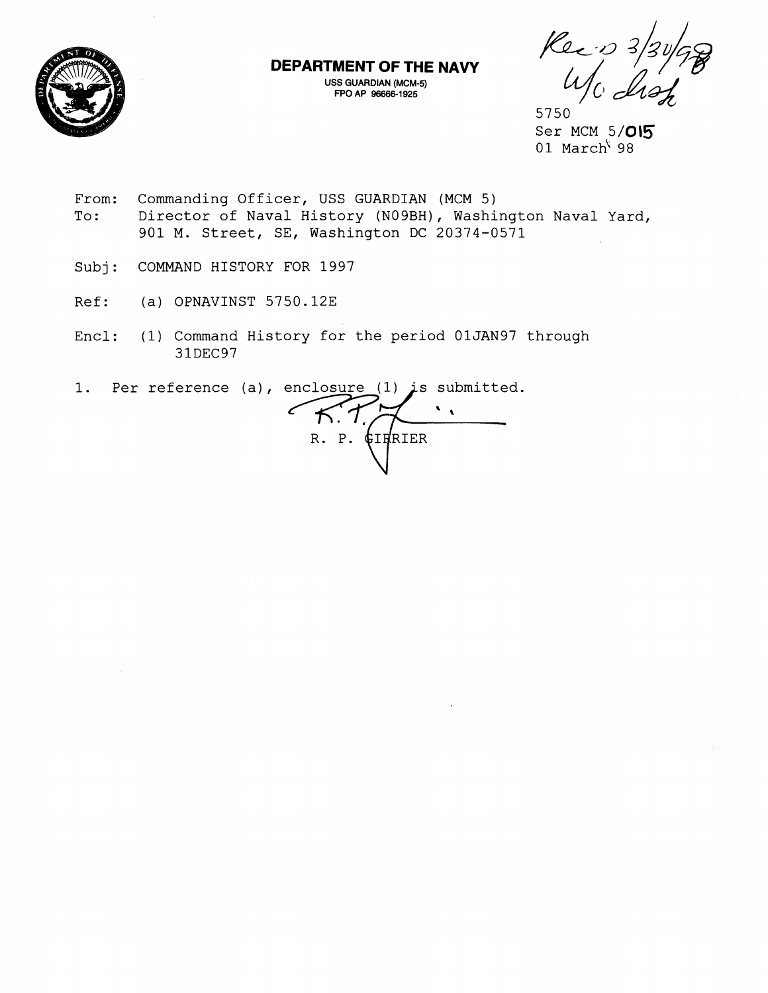

**DEPARTMENT OF THE NAVY** 

**USS GUARDIAN (MCM-5) FPO AP 96666-1925** 

 $\frac{1}{\sqrt{10}}$   $\frac{3}{3}\frac{1}{3}\frac{1}{6}$ 

5750 Ser MCM 5/015 01 March<sup>\</sup> 98

- From: Commanding Officer, USS GUARDIAN (MCM 5)<br>To: Director of Naval History (N09BH), Washi Director of Naval History (NO9BH), Washington Naval Yard, 901 M. Street, SE, Washington DC 20374-0571
- Subj: COMMAND HISTORY FOR 1997
- Ref: (a) OPNAVINST 5750.12E
- Encl: (1) Command History for the period 01JAN97 through 31DEC97

1. Per reference (a), enclosure (1) is submitted.

 $\sqrt{2}$  $K.7$  $R. P.$ **GIRRIER**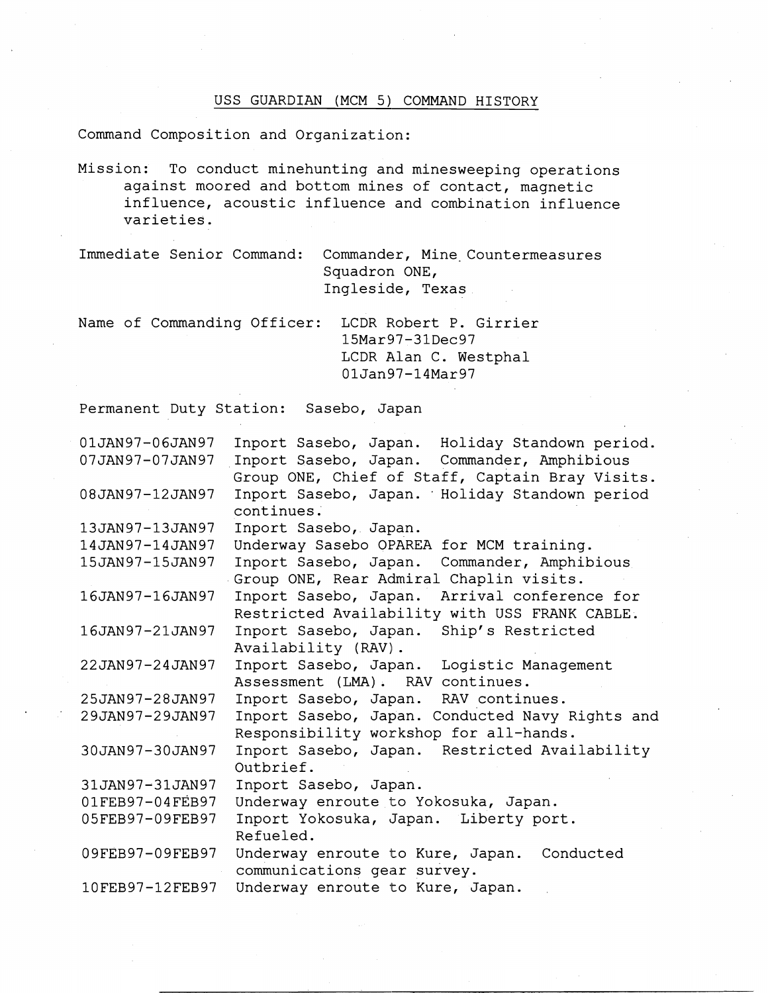## USS GUARDIAN (MCM 5) COMMAND HISTORY

Command Composition and Organization:

Mission: To conduct minehunting and minesweeping operations against moored and bottom mines of contact, magnetic influence, acoustic influence and combination influence varieties.

Immediate Senior Command: Commander, Mine Countermeasures Squadron ONE, Ingleside, Texas

Name of Commanding Officer: LCDR Robert P. Girrier 15Mar97-31Dec97 LCDR Alan C. Westphal 01Jan97-14Mar97

Permanent Duty Station: Sasebo, Japan

| 01JAN97-06JAN97 | Inport Sasebo, Japan. Holiday Standown period.  |
|-----------------|-------------------------------------------------|
| 07JAN97-07JAN97 | Inport Sasebo, Japan. Commander, Amphibious     |
|                 | Group ONE, Chief of Staff, Captain Bray Visits. |
| 08JAN97-12JAN97 | Inport Sasebo, Japan. Holiday Standown period   |
|                 | continues.                                      |
| 13JAN97-13JAN97 | Inport Sasebo, Japan.                           |
| 14JAN97-14JAN97 | Underway Sasebo OPAREA for MCM training.        |
| 15JAN97-15JAN97 | Inport Sasebo, Japan. Commander, Amphibious     |
|                 | Group ONE, Rear Admiral Chaplin visits.         |
| 16JAN97-16JAN97 | Inport Sasebo, Japan.<br>Arrival conference for |
|                 | Restricted Availability with USS FRANK CABLE.   |
| 16JAN97-21JAN97 | Inport Sasebo, Japan.<br>Ship's Restricted      |
|                 | Availability (RAV).                             |
| 22JAN97-24JAN97 | Inport Sasebo, Japan. Logistic Management       |
|                 | Assessment (LMA). RAV continues.                |
| 25JAN97-28JAN97 | Inport Sasebo, Japan.<br>RAV continues.         |
| 29JAN97-29JAN97 | Inport Sasebo, Japan. Conducted Navy Rights and |
|                 | Responsibility workshop for all-hands.          |
| 30JAN97-30JAN97 | Inport Sasebo, Japan. Restricted Availability   |
|                 | Outbrief.                                       |
| 31JAN97-31JAN97 | Inport Sasebo, Japan.                           |
| 01FEB97-04FEB97 | Underway enroute to Yokosuka, Japan.            |
| 05FEB97-09FEB97 | Inport Yokosuka, Japan. Liberty port.           |
|                 | Refueled.                                       |
| 09FEB97-09FEB97 | Underway enroute to Kure, Japan.<br>Conducted   |
|                 | communications gear survey.                     |
| 10FEB97-12FEB97 | Underway enroute to Kure, Japan.                |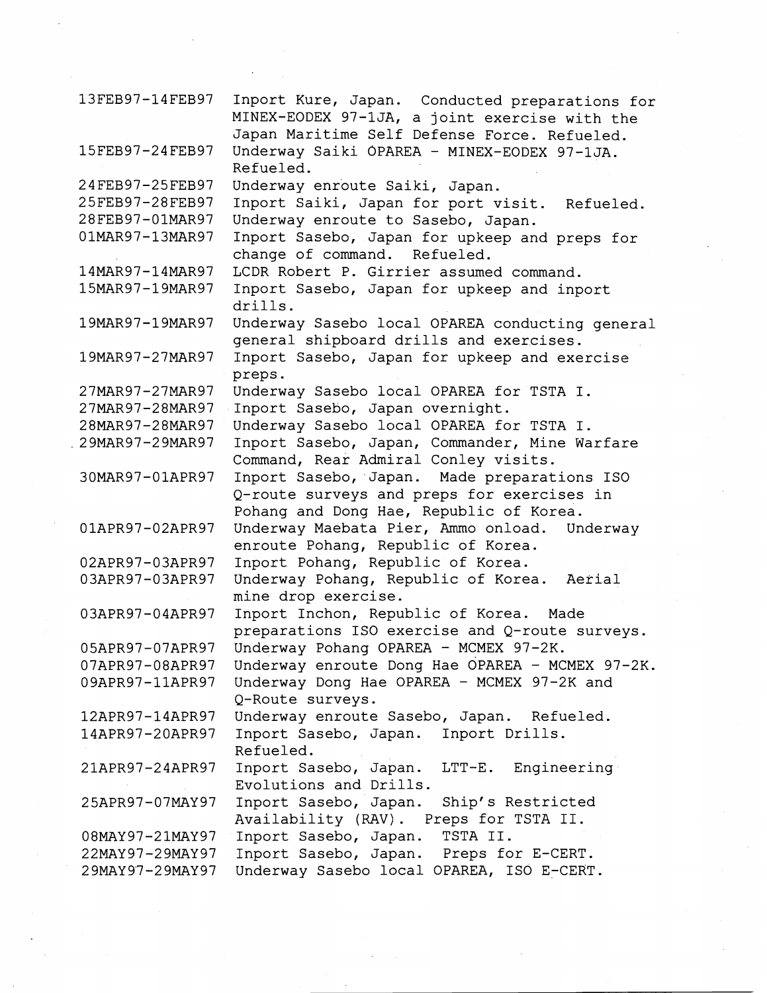| 13FEB97-14FEB97   | Inport Kure, Japan. Conducted preparations for<br>MINEX-EODEX 97-1JA, a joint exercise with the |
|-------------------|-------------------------------------------------------------------------------------------------|
|                   | Japan Maritime Self Defense Force. Refueled.                                                    |
| 15FEB97-24FEB97   | Underway Saiki OPAREA - MINEX-EODEX 97-1JA.<br>Refueled.                                        |
| 24FEB97-25FEB97   | Underway enroute Saiki, Japan.                                                                  |
| 25FEB97-28FEB97   | Inport Saiki, Japan for port visit. Refueled.                                                   |
| 28FEB97-01MAR97   | Underway enroute to Sasebo, Japan.                                                              |
| 01MAR97-13MAR97   | Inport Sasebo, Japan for upkeep and preps for                                                   |
|                   | change of command. Refueled.                                                                    |
| 14MAR97-14MAR97   | LCDR Robert P. Girrier assumed command.                                                         |
| 15MAR97-19MAR97   | Inport Sasebo, Japan for upkeep and inport                                                      |
|                   | drills.                                                                                         |
| 19MAR97-19MAR97   | Underway Sasebo local OPAREA conducting general                                                 |
|                   | general shipboard drills and exercises.                                                         |
| 19MAR97-27MAR97   | Inport Sasebo, Japan for upkeep and exercise                                                    |
|                   | preps.                                                                                          |
| 27MAR97-27MAR97   | Underway Sasebo local OPAREA for TSTA I.                                                        |
| 27MAR97-28MAR97   | Inport Sasebo, Japan overnight.                                                                 |
| 28MAR97-28MAR97   | Underway Sasebo local OPAREA for TSTA I.                                                        |
| . 29MAR97-29MAR97 | Inport Sasebo, Japan, Commander, Mine Warfare                                                   |
|                   | Command, Rear Admiral Conley visits.                                                            |
| 30MAR97-01APR97   | Inport Sasebo, Japan. Made preparations ISO                                                     |
|                   | Q-route surveys and preps for exercises in                                                      |
|                   | Pohang and Dong Hae, Republic of Korea.                                                         |
| 01APR97-02APR97   | Underway Maebata Pier, Ammo onload. Underway                                                    |
|                   | enroute Pohang, Republic of Korea.                                                              |
| 02APR97-03APR97   | Inport Pohang, Republic of Korea.                                                               |
| 03APR97-03APR97   | Underway Pohang, Republic of Korea.<br>Aerial                                                   |
|                   | mine drop exercise.                                                                             |
| 03APR97-04APR97   | Inport Inchon, Republic of Korea.<br>Made                                                       |
|                   | preparations ISO exercise and Q-route surveys.                                                  |
| 05APR97-07APR97   | Underway Pohang OPAREA - MCMEX 97-2K.                                                           |
| 07APR97-08APR97   | Underway enroute Dong Hae OPAREA - MCMEX 97-2K.                                                 |
| 09APR97-11APR97   | Underway Dong Hae OPAREA - MCMEX 97-2K and                                                      |
|                   | Q-Route surveys.                                                                                |
| 12APR97-14APR97   | Underway enroute Sasebo, Japan. Refueled.                                                       |
| 14APR97-20APR97   | Inport Sasebo, Japan. Inport Drills.                                                            |
|                   | Refueled.                                                                                       |
| 21APR97-24APR97   | Inport Sasebo, Japan.<br>LTT-E. Engineering                                                     |
|                   | Evolutions and Drills.                                                                          |
| 25APR97-07MAY97   | Inport Sasebo, Japan.<br>Ship's Restricted                                                      |
|                   | Availability (RAV). Preps for TSTA II.                                                          |
| 08MAY97-21MAY97   | TSTA II.<br>Inport Sasebo, Japan.                                                               |
| 22MAY97-29MAY97   | Inport Sasebo, Japan. Preps for E-CERT.                                                         |
| 29MAY97-29MAY97   | Underway Sasebo local OPAREA, ISO E-CERT.                                                       |

 $\label{eq:2.1} \begin{split} \mathcal{L}_{\text{max}}(\mathbf{r}) & = \mathcal{L}_{\text{max}}(\mathbf{r}) \mathcal{L}_{\text{max}}(\mathbf{r}) = \mathcal{L}_{\text{max}}(\mathbf{r}) \mathcal{L}_{\text{max}}(\mathbf{r}) \mathcal{L}_{\text{max}}(\mathbf{r}) \mathcal{L}_{\text{max}}(\mathbf{r}) \mathcal{L}_{\text{max}}(\mathbf{r}) \mathcal{L}_{\text{max}}(\mathbf{r}) \mathcal{L}_{\text{max}}(\mathbf{r}) \mathcal{L}_{\text{max}}(\mathbf{r}) \mathcal{L}_{\text{max}}(\mathbf{r$ 

 $\label{eq:2} \frac{1}{\sqrt{2}}\sum_{i=1}^n\frac{1}{\sqrt{2\pi i}}\sum_{j=1}^n\frac{1}{j!}\sum_{j=1}^n\frac{1}{j!}\sum_{j=1}^n\frac{1}{j!}\sum_{j=1}^n\frac{1}{j!}\sum_{j=1}^n\frac{1}{j!}\sum_{j=1}^n\frac{1}{j!}\sum_{j=1}^n\frac{1}{j!}\sum_{j=1}^n\frac{1}{j!}\sum_{j=1}^n\frac{1}{j!}\sum_{j=1}^n\frac{1}{j!}\sum_{j=1}^n\frac{1}{j!}\sum_{j=$ 

 $\label{eq:2} \frac{1}{2} \int_{\mathbb{R}^3} \frac{1}{\sqrt{2}} \, \mathrm{d} \xi \, \mathrm{d} \xi \, \mathrm{d} \xi$ 

 $\mathcal{L}_{\text{eff}}$ 

 $\label{eq:2} \frac{1}{\sqrt{2}}\int_{0}^{\pi/2} \frac{1}{\sqrt{2}}\,d\mu$ 

 $\mathcal{A}^{(1)}$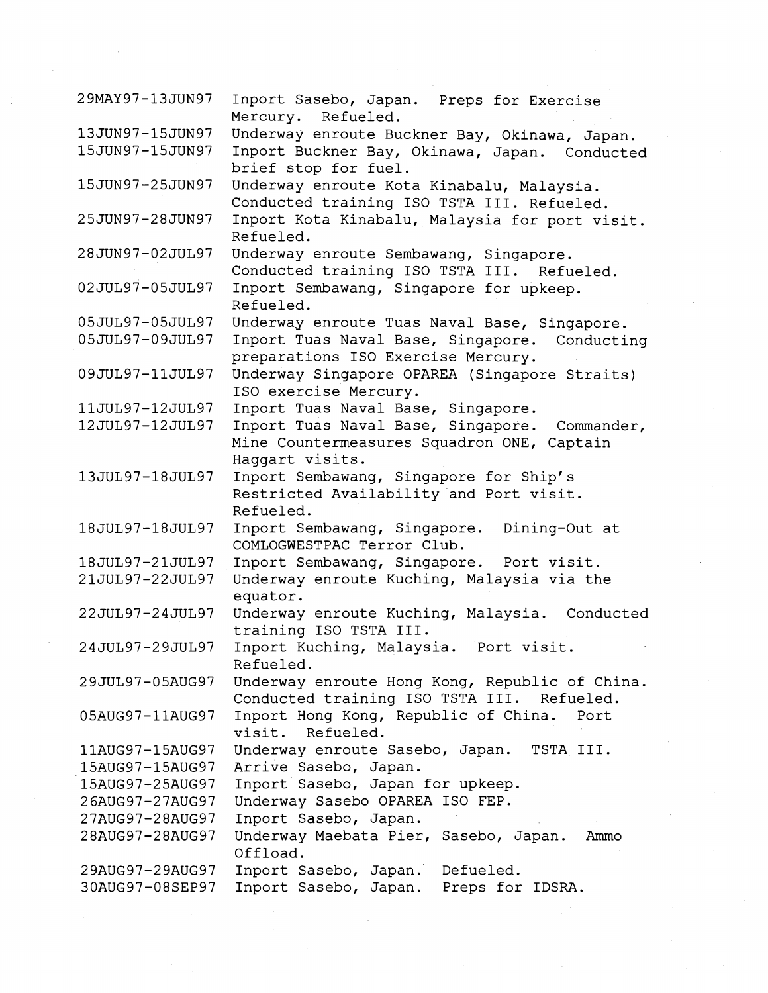| 29MAY97-13JUN97 | Inport Sasebo, Japan. Preps for Exercise<br>Mercury. Refueled.                                                 |  |
|-----------------|----------------------------------------------------------------------------------------------------------------|--|
| 13JUN97-15JUN97 | Underway enroute Buckner Bay, Okinawa, Japan.                                                                  |  |
| 15JUN97-15JUN97 | Inport Buckner Bay, Okinawa, Japan. Conducted                                                                  |  |
|                 | brief stop for fuel.                                                                                           |  |
| 15JUN97-25JUN97 | Underway enroute Kota Kinabalu, Malaysia.                                                                      |  |
|                 | Conducted training ISO TSTA III. Refueled.                                                                     |  |
| 25JUN97-28JUN97 | Inport Kota Kinabalu, Malaysia for port visit.<br>Refueled.                                                    |  |
| 28JUN97-02JUL97 | Underway enroute Sembawang, Singapore.<br>Conducted training ISO TSTA III. Refueled.                           |  |
| 02JUL97-05JUL97 | Inport Sembawang, Singapore for upkeep.<br>Refueled.                                                           |  |
| 05JUL97-05JUL97 | Underway enroute Tuas Naval Base, Singapore.                                                                   |  |
| 05JUL97-09JUL97 | Inport Tuas Naval Base, Singapore. Conducting                                                                  |  |
|                 | preparations ISO Exercise Mercury.                                                                             |  |
| 09JUL97-11JUL97 | Underway Singapore OPAREA (Singapore Straits)<br>ISO exercise Mercury.                                         |  |
| 11JUL97-12JUL97 | Inport Tuas Naval Base, Singapore.                                                                             |  |
| 12JUL97-12JUL97 | Inport Tuas Naval Base, Singapore. Commander,<br>Mine Countermeasures Squadron ONE, Captain<br>Haggart visits. |  |
| 13JUL97-18JUL97 | Inport Sembawang, Singapore for Ship's<br>Restricted Availability and Port visit.                              |  |
| 18JUL97-18JUL97 | Refueled.<br>Inport Sembawang, Singapore.<br>Dining-Out at                                                     |  |
|                 | COMLOGWESTPAC Terror Club.                                                                                     |  |
| 18JUL97-21JUL97 | Inport Sembawang, Singapore. Port visit.                                                                       |  |
| 21JUL97-22JUL97 | Underway enroute Kuching, Malaysia via the<br>equator.                                                         |  |
| 22JUL97-24JUL97 | Underway enroute Kuching, Malaysia. Conducted<br>training ISO TSTA III.                                        |  |
| 24JUL97-29JUL97 | Inport Kuching, Malaysia. Port visit.<br>Refueled.                                                             |  |
| 29JUL97-05AUG97 | Underway enroute Hong Kong, Republic of China.<br>Conducted training ISO TSTA III. Refueled.                   |  |
| 05AUG97-11AUG97 | Inport Hong Kong, Republic of China.<br>Port<br>visit. Refueled.                                               |  |
| 11AUG97-15AUG97 | Underway enroute Sasebo, Japan.<br>TSTA III.                                                                   |  |
| 15AUG97-15AUG97 | Arrive Sasebo, Japan.                                                                                          |  |
| 15AUG97-25AUG97 | Inport Sasebo, Japan for upkeep.                                                                               |  |
| 26AUG97-27AUG97 | Underway Sasebo OPAREA ISO FEP.                                                                                |  |
| 27AUG97-28AUG97 | Inport Sasebo, Japan.                                                                                          |  |
| 28AUG97-28AUG97 | Underway Maebata Pier, Sasebo, Japan.<br>Ammo<br>Offload.                                                      |  |
| 29AUG97-29AUG97 | Inport Sasebo, Japan. Defueled.                                                                                |  |
| 30AUG97-08SEP97 | Inport Sasebo, Japan. Preps for IDSRA.                                                                         |  |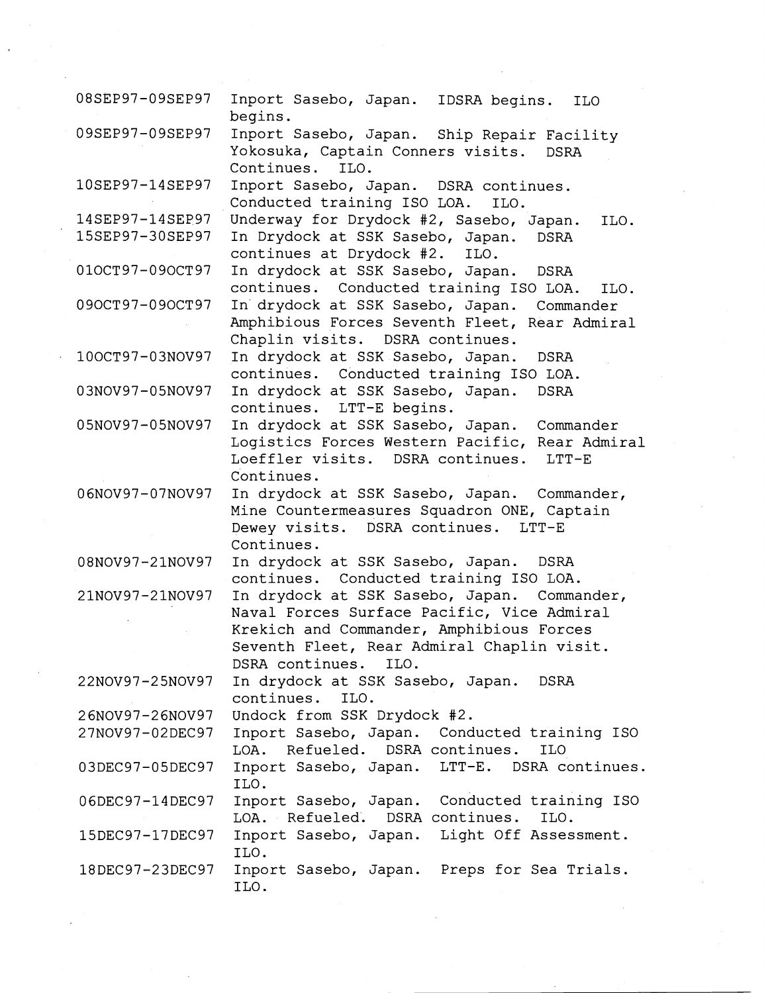| 08SEP97-09SEP97 | Inport Sasebo, Japan. IDSRA begins.<br><b>ILO</b>     |
|-----------------|-------------------------------------------------------|
| 09SEP97-09SEP97 | begins.<br>Inport Sasebo, Japan. Ship Repair Facility |
|                 | Yokosuka, Captain Conners visits.<br><b>DSRA</b>      |
|                 | Continues.<br>ILO.                                    |
| 10SEP97-14SEP97 | Inport Sasebo, Japan. DSRA continues.                 |
|                 | Conducted training ISO LOA.<br>ILO.                   |
| 14SEP97-14SEP97 | Underway for Drydock #2, Sasebo, Japan.<br>ILO.       |
| 15SEP97-30SEP97 | In Drydock at SSK Sasebo, Japan.<br><b>DSRA</b>       |
|                 | continues at Drydock #2.<br>ILO.                      |
| 010CT97-090CT97 | In drydock at SSK Sasebo, Japan.<br>DSRA              |
|                 | continues. Conducted training ISO LOA.<br>ILO.        |
| 090CT97-090CT97 | In drydock at SSK Sasebo, Japan.<br>Commander         |
|                 | Amphibious Forces Seventh Fleet, Rear Admiral         |
|                 | Chaplin visits. DSRA continues.                       |
| 100CT97-03NOV97 | In drydock at SSK Sasebo, Japan.<br><b>DSRA</b>       |
|                 | continues.<br>Conducted training ISO LOA.             |
| 03NOV97-05NOV97 | In drydock at SSK Sasebo, Japan.<br><b>DSRA</b>       |
|                 | continues. LTT-E begins.                              |
| 05NOV97-05NOV97 | In drydock at SSK Sasebo, Japan.<br>Commander         |
|                 | Logistics Forces Western Pacific, Rear Admiral        |
|                 | Loeffler visits. DSRA continues.<br>$LTT-E$           |
|                 | Continues.                                            |
| 06NOV97-07NOV97 | In drydock at SSK Sasebo, Japan.<br>Commander,        |
|                 | Mine Countermeasures Squadron ONE, Captain            |
|                 | Dewey visits. DSRA continues.<br>$LTT-E$              |
|                 | Continues.                                            |
| 08NOV97-21NOV97 | In drydock at SSK Sasebo, Japan.<br><b>DSRA</b>       |
|                 | continues. Conducted training ISO LOA.                |
| 21NOV97-21NOV97 | In drydock at SSK Sasebo, Japan. Commander,           |
|                 | Naval Forces Surface Pacific, Vice Admiral            |
|                 | Krekich and Commander, Amphibious Forces              |
|                 | Seventh Fleet, Rear Admiral Chaplin visit.            |
|                 | DSRA continues. ILO.                                  |
| 22NOV97-25NOV97 | In drydock at SSK Sasebo, Japan.<br>DSRA              |
|                 | continues.<br>ILO.                                    |
| 26NOV97-26NOV97 | Undock from SSK Drydock #2.                           |
| 27NOV97-02DEC97 | Inport Sasebo, Japan. Conducted training ISO          |
|                 | LOA. Refueled. DSRA continues.<br><b>ILO</b>          |
| 03DEC97-05DEC97 | Inport Sasebo, Japan. LTT-E. DSRA continues.          |
|                 | ILO.                                                  |
| 06DEC97-14DEC97 | Inport Sasebo, Japan. Conducted training ISO          |
|                 | LOA. Refueled.<br>DSRA continues.<br>ILO.             |
| 15DEC97-17DEC97 | Inport Sasebo, Japan. Light Off Assessment.           |
|                 | ILO.                                                  |
|                 |                                                       |
| 18DEC97-23DEC97 | Inport Sasebo, Japan. Preps for Sea Trials.           |

 $\mathcal{A}^{(1)}$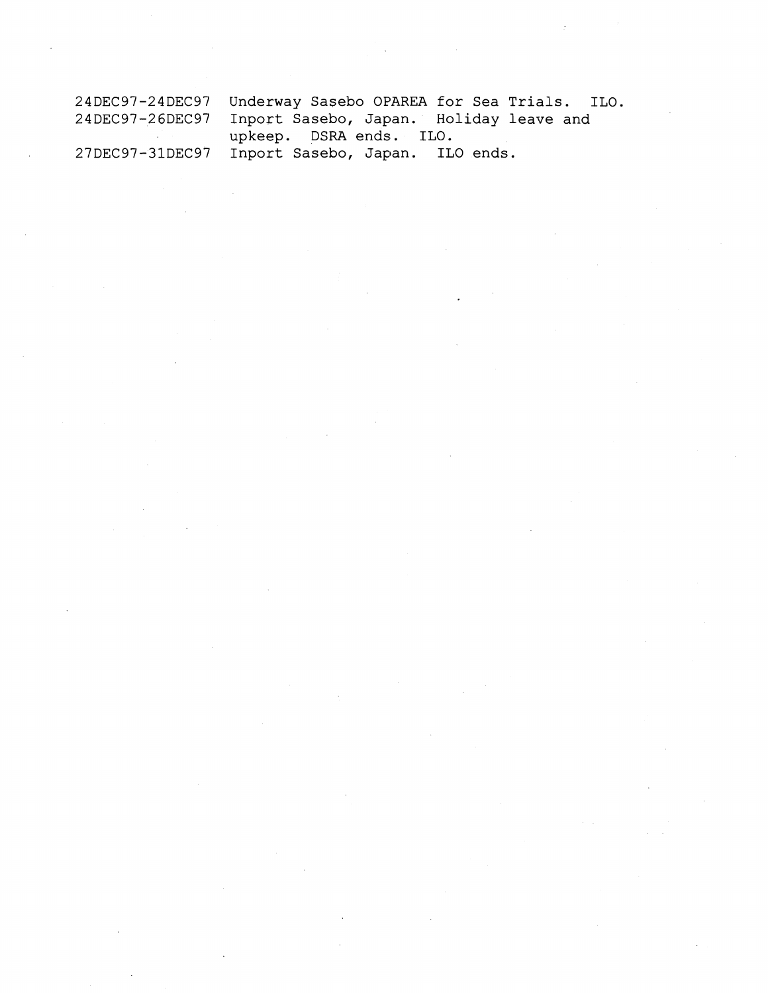| 24DEC97-24DEC97 Underway Sasebo OPAREA for Sea Trials. ILO. |
|-------------------------------------------------------------|
| 24DEC97-26DEC97 Inport Sasebo, Japan. Holiday leave and     |
| upkeep. DSRA ends. ILO.                                     |
| 27DEC97-31DEC97 Inport Sasebo, Japan. ILO ends.             |

 $\label{eq:2.1} \frac{1}{\sqrt{2\pi}}\sum_{i=1}^n\frac{1}{\sqrt{2\pi}}\sum_{i=1}^n\frac{1}{\sqrt{2\pi}}\sum_{i=1}^n\frac{1}{\sqrt{2\pi}}\sum_{i=1}^n\frac{1}{\sqrt{2\pi}}\sum_{i=1}^n\frac{1}{\sqrt{2\pi}}\sum_{i=1}^n\frac{1}{\sqrt{2\pi}}\sum_{i=1}^n\frac{1}{\sqrt{2\pi}}\sum_{i=1}^n\frac{1}{\sqrt{2\pi}}\sum_{i=1}^n\frac{1}{\sqrt{2\pi}}\sum_{i=1}^n\$ 

 $\label{eq:2.1} \frac{1}{\sqrt{2}}\int_{\mathbb{R}^3}\frac{1}{\sqrt{2}}\left(\frac{1}{\sqrt{2}}\right)^2\frac{1}{\sqrt{2}}\left(\frac{1}{\sqrt{2}}\right)^2\frac{1}{\sqrt{2}}\left(\frac{1}{\sqrt{2}}\right)^2\frac{1}{\sqrt{2}}\left(\frac{1}{\sqrt{2}}\right)^2.$ 

 $\label{eq:2.1} \frac{d\mathbf{r}}{d\mathbf{r}}\left(\mathbf{r}\right) = \frac{1}{2}\left(\mathbf{r}\right)^{2}\left(\mathbf{r}\right)^{2}$ 

 $\hat{\mathcal{L}}_{\text{max}}$ 

 $\label{eq:2.1} \frac{1}{\sqrt{2}}\int_{0}^{\infty}\frac{1}{\sqrt{2\pi}}\left(\frac{1}{\sqrt{2\pi}}\right)^{2\alpha} \frac{1}{\sqrt{2\pi}}\int_{0}^{\infty}\frac{1}{\sqrt{2\pi}}\left(\frac{1}{\sqrt{2\pi}}\right)^{\alpha} \frac{1}{\sqrt{2\pi}}\int_{0}^{\infty}\frac{1}{\sqrt{2\pi}}\frac{1}{\sqrt{2\pi}}\frac{1}{\sqrt{2\pi}}\frac{1}{\sqrt{2\pi}}\frac{1}{\sqrt{2\pi}}\frac{1}{\sqrt{2\pi}}\frac{1}{\sqrt{2\pi}}$ 

 $\label{eq:2.1} \frac{1}{\sqrt{2}}\int_{\mathbb{R}^3}\frac{1}{\sqrt{2}}\left(\frac{1}{\sqrt{2}}\right)^2\frac{1}{\sqrt{2}}\left(\frac{1}{\sqrt{2}}\right)^2\frac{1}{\sqrt{2}}\left(\frac{1}{\sqrt{2}}\right)^2\frac{1}{\sqrt{2}}\left(\frac{1}{\sqrt{2}}\right)^2\frac{1}{\sqrt{2}}\left(\frac{1}{\sqrt{2}}\right)^2\frac{1}{\sqrt{2}}\frac{1}{\sqrt{2}}\frac{1}{\sqrt{2}}\frac{1}{\sqrt{2}}\frac{1}{\sqrt{2}}\frac{1}{\sqrt{2}}$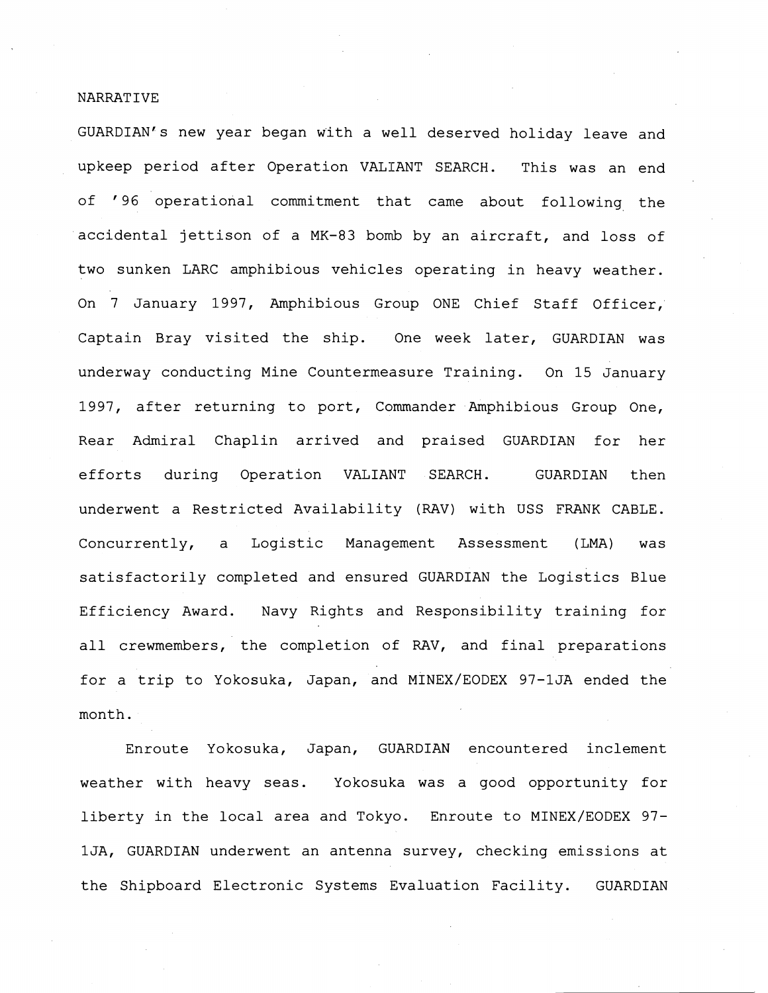## NARRAT IVE

GUARDIAN's new year began with a well deserved holiday leave and upkeep period after Operation VALIANT SEARCH. This was an end of '96 operational commitment that came about following the accidental jettison of a MK-83 bomb by an aircraft, and loss of two sunken LARC amphibious vehicles operating in heavy weather. On 7 January 1997, Amphibious Group ONE Chief Staff Officer, Captain Bray visited the ship. One week later, GUARDIAN was underway conducting Mine Countermeasure Training. On 15 January 1997, after returning to port, Commander Amphibious Group One, Rear Admiral Chaplin arrived and praised GUARDIAN for her efforts during Operation VALIANT SEARCH. GUARDIAN then underwent a Restricted Availability (RAV) with USS FRANK CABLE. Concurrently, a Logistic Management Assessment (LMA) was satisfactorily completed and ensured GUARDIAN the Logistics Blue Efficiency Award. Navy Rights and Responsibility training for all crewmembers, the completion of RAV, and final preparations for a trip to Yokosuka, Japan, and MINEX/EODEX 97-1JA ended the month.

Enroute Yokosuka, Japan, GUARDIAN encountered inclement weather with heavy seas. Yokosuka was a good opportunity for liberty in the local area and Tokyo. Enroute to MINEX/EODEX 97 lJA, GUARDIAN underwent an antenna survey, checking emissions at the Shipboard Electronic Systems Evaluation Facility. GUARDIAN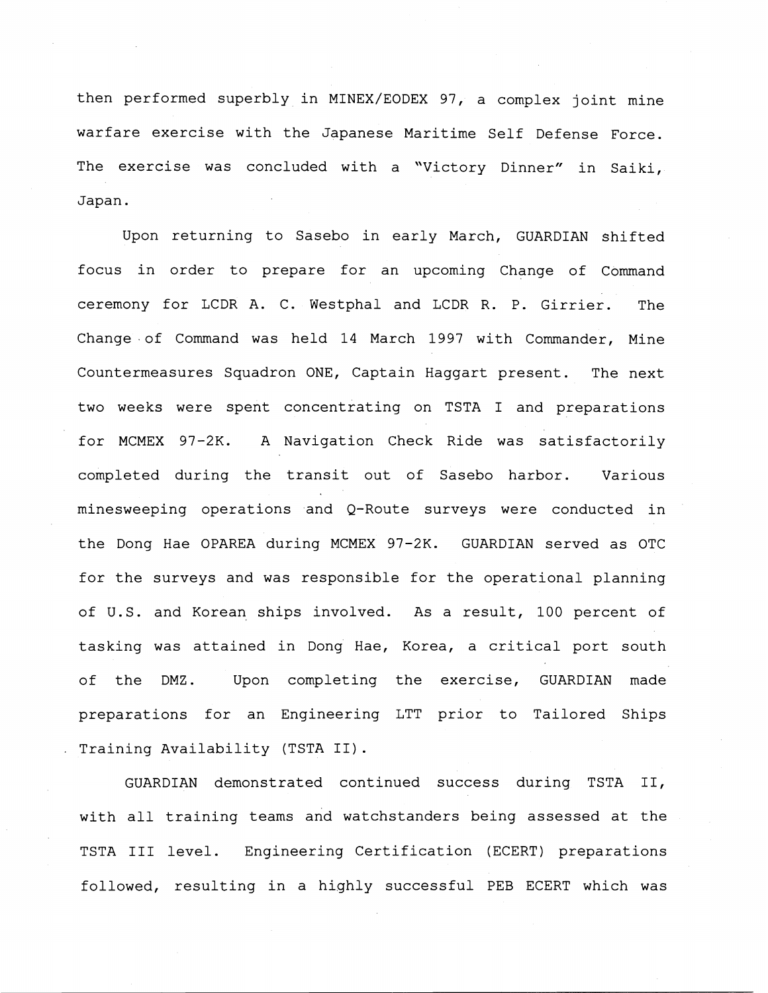then performed superbly in MINEX/EODEX 97, a complex joint mine warfare exercise with the Japanese Maritime Self Defense Force. The exercise was concluded with a "Victory Dinner" in Saiki, Japan.

Upon returning to Sasebo in early March, GUARDIAN shifted focus in order to prepare for an upcoming Change of Command ceremony for LCDR A. C. Westphal and LCDR R. P. Girrier. The Change .of Command was held 14 March 1997 with Commander, Mine Countermeasures Squadron ONE, Captain Haggart present. The next two weeks were spent concentrating on TSTA I and preparations for MCMEX 97-2K. A Navigation Check Ride was satisfactorily completed during the transit out of Sasebo harbor. Various minesweeping operations and Q-Route surveys were conducted in the Dong Hae OPAREA during MCMEX 97-2K. GUARDIAN served as OTC for the surveys and was responsible for the operational planning of U.S. and Korean ships involved. As a result, 100 percent of tasking was attained in Dong Hae, Korea, a critical port south of the DMZ. Upon completing the exercise, GUARDIAN made preparations for an Engineering LTT prior to Tailored Ships Training Availability (TSTA 11).

GUARDIAN demonstrated continued success during TSTA 11, with all training teams and watchstanders being assessed at the TSTA I11 level. Engineering Certification (ECERT) preparations followed, resulting in a highly successful PEB ECERT which was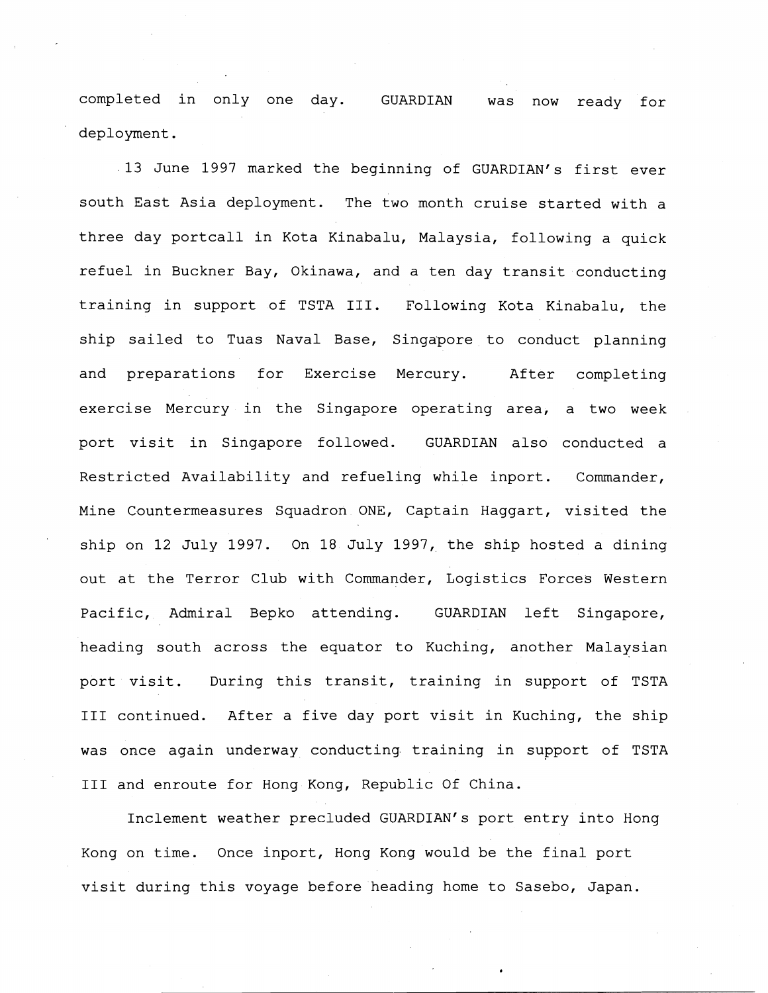completed in only one day. GUARDIAN was now ready for deployment.

13 June 1997 marked the beginning of GUARDIAN'S first ever south East Asia deployment. The two month cruise started with a three day portcall in Kota Kinabalu, Malaysia, following a quick refuel in Buckner Bay, Okinawa, and a ten day transit conducting training in support of TSTA 111. Following Kota Kinabalu, the ship sailed to Tuas Naval Base, Singapore to conduct planning and preparations for Exercise Mercury. After completing exercise Mercury in the Singapore operating area, a two week port visit in Singapore followed. GUARDIAN also conducted a Restricted Availability and refueling while inport. Commander, Mine Countermeasures Squadron ONE, Captain Haggart, visited the ship on 12 July 1997. On 18 July 1997, the ship hosted a dining out at the Terror Club with Commander, Logistics Forces Western Pacific, Admiral Bepko attending. GUARDIAN left Singapore, heading south across the equator to Kuching, another Malaysian port visit. During this transit, training in support of TSTA I11 continued. After a five day port visit in Kuching, the ship was once again underway conducting training in support of TSTA I11 and enroute for Hong Kong, Republic Of China.

Inclement weather precluded GUARDIAN'S port entry into Hong Kong on time. Once inport, Hong Kong would be the final port visit during this voyage before heading home to Sasebo, Japan.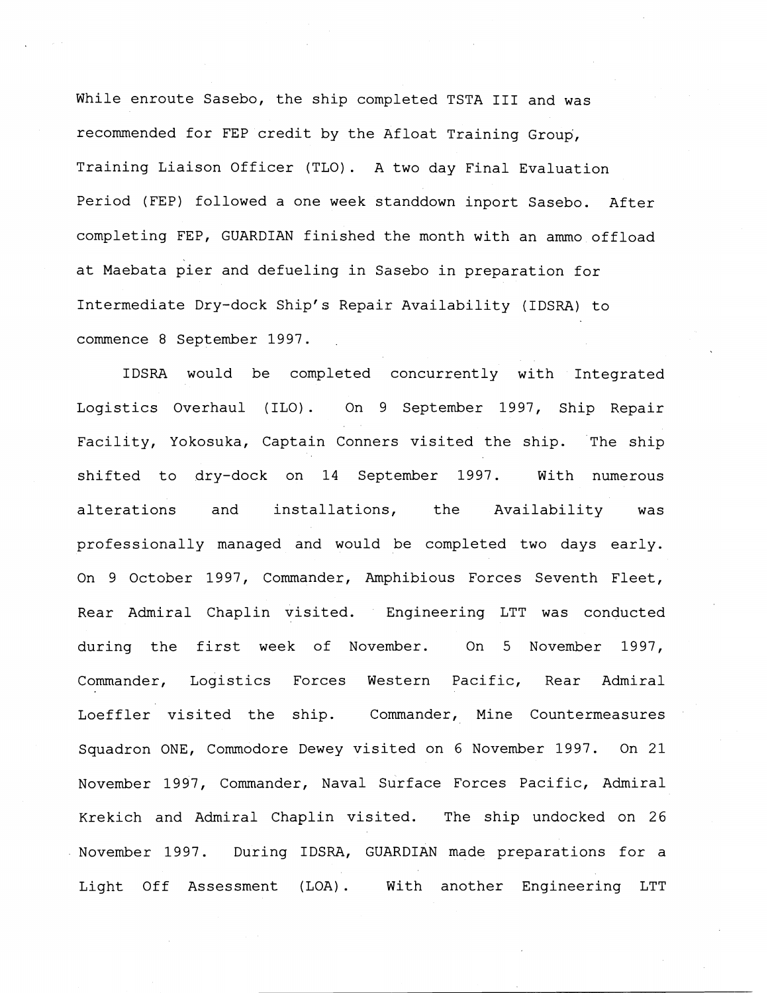While enroute Sasebo, the ship completed TSTA III and was recommended for FEP credit by the Afloat Training Group, Training Liaison Officer (TLO). A two day Final Evaluation Period (FEP) followed a one week standdown inport Sasebo. After completing FEP, GUARDIAN finished the month with an ammo offload at Maebata pier and defueling in Sasebo in preparation for Intermediate Dry-dock Ship's Repair Availability (IDSRA) to commence 8 September 1997.

IDSRA would be completed concurrently with Integrated Logistics Overhaul (ILO). On 9 September 1997, Ship Repair Facility, Yokosuka, Captain Conners visited the ship. The ship shifted to dry-dock on 14 September 1997. With numerous alterations and installations, the Availability was professionally managed and would be completed two days early. On 9 October 1997, Commander, Amphibious Forces Seventh Fleet, Rear Admiral Chaplin visited. Engineering LTT was conducted during the first week of Novenber. On 5 November 1997, Commander, Logistics Forces Western Pacific, Rear Admiral Loeffler visited the ship. Commander, Mine Countermeasures Squadron ONE, Commodore Dewey visited on 6 November 1997. On 21 November 1997, Commander, Naval Surface Forces Pacific, Admiral Krekich and Admiral Chaplin visited. The ship undocked on 26 November 1997. During IDSRA, GUARDIAN made preparations for a Light Off Assessment (LOA). With another Engineering LTT